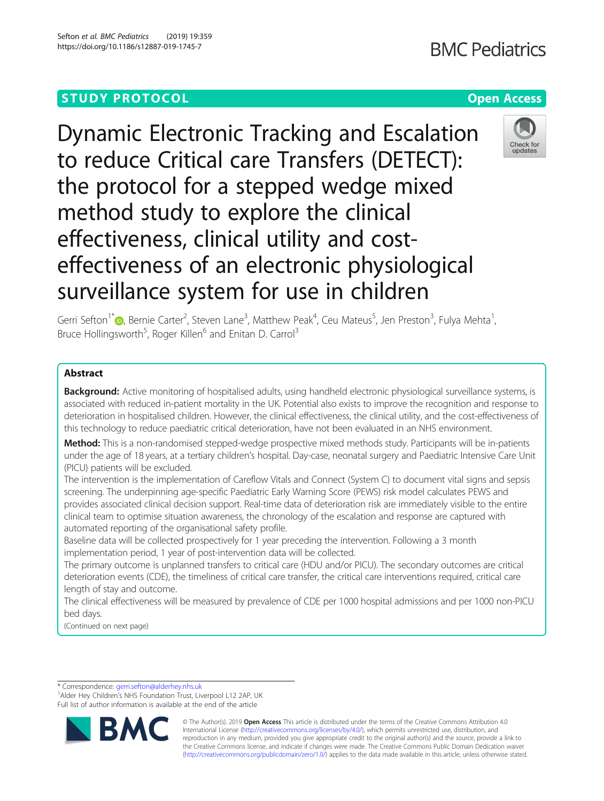Dynamic Electronic Tracking and Escalation to reduce Critical care Transfers (DETECT): the protocol for a stepped wedge mixed method study to explore the clinical effectiveness, clinical utility and costeffectiveness of an electronic physiological surveillance system for use in children



Gerri Sefton<sup>1\*</sup>®[,](http://orcid.org/0000-0003-4159-6341) Bernie Carter<sup>2</sup>, Steven Lane<sup>3</sup>, Matthew Peak<sup>4</sup>, Ceu Mateus<sup>5</sup>, Jen Preston<sup>3</sup>, Fulya Mehta<sup>1</sup> , Bruce Hollingsworth<sup>5</sup>, Roger Killen<sup>6</sup> and Enitan D. Carrol<sup>3</sup>

# Abstract

Background: Active monitoring of hospitalised adults, using handheld electronic physiological surveillance systems, is associated with reduced in-patient mortality in the UK. Potential also exists to improve the recognition and response to deterioration in hospitalised children. However, the clinical effectiveness, the clinical utility, and the cost-effectiveness of this technology to reduce paediatric critical deterioration, have not been evaluated in an NHS environment.

Method: This is a non-randomised stepped-wedge prospective mixed methods study. Participants will be in-patients under the age of 18 years, at a tertiary children's hospital. Day-case, neonatal surgery and Paediatric Intensive Care Unit (PICU) patients will be excluded.

The intervention is the implementation of Careflow Vitals and Connect (System C) to document vital signs and sepsis screening. The underpinning age-specific Paediatric Early Warning Score (PEWS) risk model calculates PEWS and provides associated clinical decision support. Real-time data of deterioration risk are immediately visible to the entire clinical team to optimise situation awareness, the chronology of the escalation and response are captured with automated reporting of the organisational safety profile.

Baseline data will be collected prospectively for 1 year preceding the intervention. Following a 3 month implementation period, 1 year of post-intervention data will be collected.

The primary outcome is unplanned transfers to critical care (HDU and/or PICU). The secondary outcomes are critical deterioration events (CDE), the timeliness of critical care transfer, the critical care interventions required, critical care length of stay and outcome.

The clinical effectiveness will be measured by prevalence of CDE per 1000 hospital admissions and per 1000 non-PICU bed days.

(Continued on next page)

\* Correspondence: [gerri.sefton@alderhey.nhs.uk](mailto:gerri.sefton@alderhey.nhs.uk) <sup>1</sup>

<sup>1</sup> Alder Hey Children's NHS Foundation Trust, Liverpool L12 2AP, UK Full list of author information is available at the end of the article



© The Author(s). 2019 **Open Access** This article is distributed under the terms of the Creative Commons Attribution 4.0 International License [\(http://creativecommons.org/licenses/by/4.0/](http://creativecommons.org/licenses/by/4.0/)), which permits unrestricted use, distribution, and reproduction in any medium, provided you give appropriate credit to the original author(s) and the source, provide a link to the Creative Commons license, and indicate if changes were made. The Creative Commons Public Domain Dedication waiver [\(http://creativecommons.org/publicdomain/zero/1.0/](http://creativecommons.org/publicdomain/zero/1.0/)) applies to the data made available in this article, unless otherwise stated.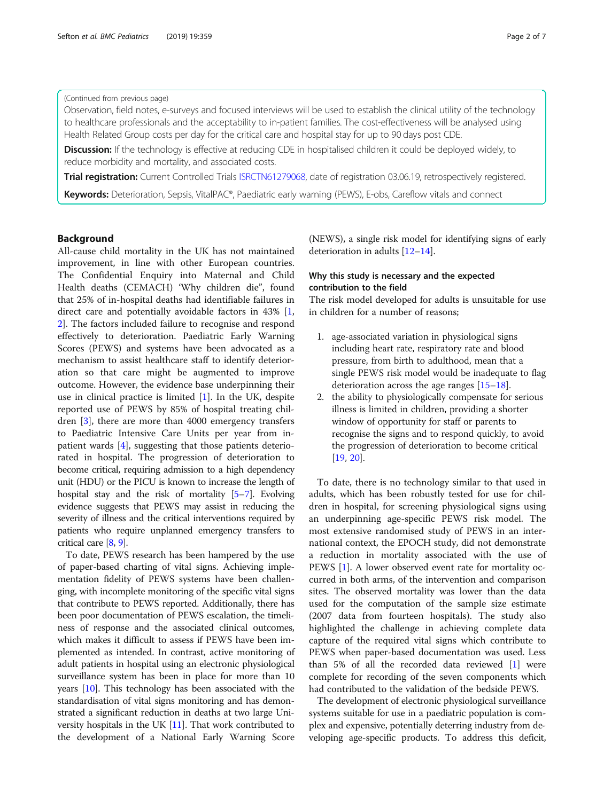# (Continued from previous page)

Observation, field notes, e-surveys and focused interviews will be used to establish the clinical utility of the technology to healthcare professionals and the acceptability to in-patient families. The cost-effectiveness will be analysed using Health Related Group costs per day for the critical care and hospital stay for up to 90 days post CDE.

**Discussion:** If the technology is effective at reducing CDE in hospitalised children it could be deployed widely, to reduce morbidity and mortality, and associated costs.

Trial registration: Current Controlled Trials [ISRCTN61279068](https://doi.org/10.1186/ISRCTN61279068), date of registration 03.06.19, retrospectively registered.

Keywords: Deterioration, Sepsis, VitalPAC®, Paediatric early warning (PEWS), E-obs, Careflow vitals and connect

# Background

All-cause child mortality in the UK has not maintained improvement, in line with other European countries. The Confidential Enquiry into Maternal and Child Health deaths (CEMACH) 'Why children die", found that 25% of in-hospital deaths had identifiable failures in direct care and potentially avoidable factors in 43% [\[1](#page-5-0), [2\]](#page-5-0). The factors included failure to recognise and respond effectively to deterioration. Paediatric Early Warning Scores (PEWS) and systems have been advocated as a mechanism to assist healthcare staff to identify deterioration so that care might be augmented to improve outcome. However, the evidence base underpinning their use in clinical practice is limited  $[1]$  $[1]$ . In the UK, despite reported use of PEWS by 85% of hospital treating children [\[3](#page-5-0)], there are more than 4000 emergency transfers to Paediatric Intensive Care Units per year from inpatient wards [[4\]](#page-5-0), suggesting that those patients deteriorated in hospital. The progression of deterioration to become critical, requiring admission to a high dependency unit (HDU) or the PICU is known to increase the length of hospital stay and the risk of mortality [\[5](#page-5-0)–[7](#page-5-0)]. Evolving evidence suggests that PEWS may assist in reducing the severity of illness and the critical interventions required by patients who require unplanned emergency transfers to critical care [\[8,](#page-5-0) [9](#page-5-0)].

To date, PEWS research has been hampered by the use of paper-based charting of vital signs. Achieving implementation fidelity of PEWS systems have been challenging, with incomplete monitoring of the specific vital signs that contribute to PEWS reported. Additionally, there has been poor documentation of PEWS escalation, the timeliness of response and the associated clinical outcomes, which makes it difficult to assess if PEWS have been implemented as intended. In contrast, active monitoring of adult patients in hospital using an electronic physiological surveillance system has been in place for more than 10 years [\[10\]](#page-5-0). This technology has been associated with the standardisation of vital signs monitoring and has demonstrated a significant reduction in deaths at two large University hospitals in the UK [[11](#page-5-0)]. That work contributed to the development of a National Early Warning Score

(NEWS), a single risk model for identifying signs of early deterioration in adults [\[12](#page-5-0)–[14](#page-5-0)].

# Why this study is necessary and the expected contribution to the field

The risk model developed for adults is unsuitable for use in children for a number of reasons;

- 1. age-associated variation in physiological signs including heart rate, respiratory rate and blood pressure, from birth to adulthood, mean that a single PEWS risk model would be inadequate to flag deterioration across the age ranges [[15](#page-5-0)–[18\]](#page-5-0).
- 2. the ability to physiologically compensate for serious illness is limited in children, providing a shorter window of opportunity for staff or parents to recognise the signs and to respond quickly, to avoid the progression of deterioration to become critical [[19](#page-5-0), [20\]](#page-5-0).

To date, there is no technology similar to that used in adults, which has been robustly tested for use for children in hospital, for screening physiological signs using an underpinning age-specific PEWS risk model. The most extensive randomised study of PEWS in an international context, the EPOCH study, did not demonstrate a reduction in mortality associated with the use of PEWS [\[1](#page-5-0)]. A lower observed event rate for mortality occurred in both arms, of the intervention and comparison sites. The observed mortality was lower than the data used for the computation of the sample size estimate (2007 data from fourteen hospitals). The study also highlighted the challenge in achieving complete data capture of the required vital signs which contribute to PEWS when paper-based documentation was used. Less than 5% of all the recorded data reviewed [\[1](#page-5-0)] were complete for recording of the seven components which had contributed to the validation of the bedside PEWS.

The development of electronic physiological surveillance systems suitable for use in a paediatric population is complex and expensive, potentially deterring industry from developing age-specific products. To address this deficit,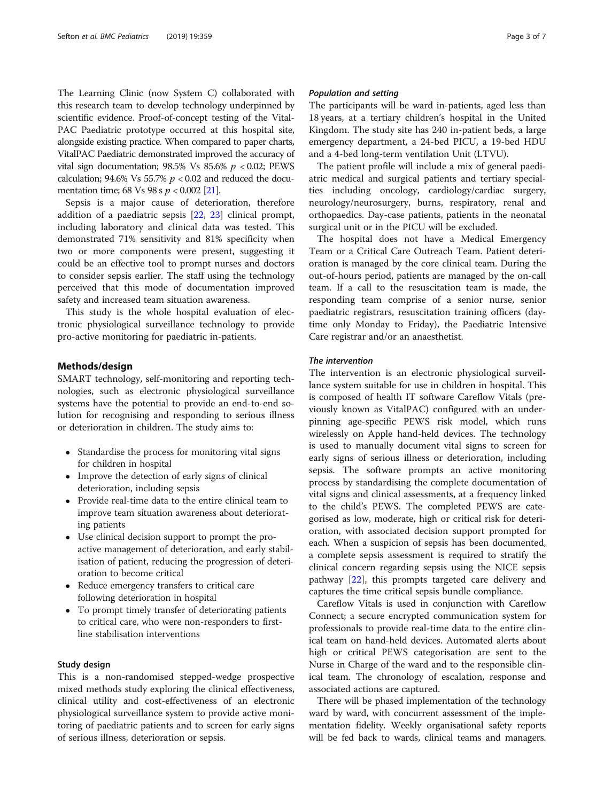The Learning Clinic (now System C) collaborated with this research team to develop technology underpinned by scientific evidence. Proof-of-concept testing of the Vital-PAC Paediatric prototype occurred at this hospital site, alongside existing practice. When compared to paper charts, VitalPAC Paediatric demonstrated improved the accuracy of vital sign documentation; 98.5% Vs 85.6%  $p < 0.02$ ; PEWS calculation; 94.6% Vs 55.7%  $p < 0.02$  and reduced the documentation time; 68 Vs 98 s  $p < 0.002$  [\[21\]](#page-5-0).

Sepsis is a major cause of deterioration, therefore addition of a paediatric sepsis [\[22,](#page-5-0) [23](#page-5-0)] clinical prompt, including laboratory and clinical data was tested. This demonstrated 71% sensitivity and 81% specificity when two or more components were present, suggesting it could be an effective tool to prompt nurses and doctors to consider sepsis earlier. The staff using the technology perceived that this mode of documentation improved safety and increased team situation awareness.

This study is the whole hospital evaluation of electronic physiological surveillance technology to provide pro-active monitoring for paediatric in-patients.

# Methods/design

SMART technology, self-monitoring and reporting technologies, such as electronic physiological surveillance systems have the potential to provide an end-to-end solution for recognising and responding to serious illness or deterioration in children. The study aims to:

- Standardise the process for monitoring vital signs for children in hospital
- Improve the detection of early signs of clinical deterioration, including sepsis
- Provide real-time data to the entire clinical team to improve team situation awareness about deteriorating patients
- Use clinical decision support to prompt the proactive management of deterioration, and early stabilisation of patient, reducing the progression of deterioration to become critical
- Reduce emergency transfers to critical care following deterioration in hospital
- To prompt timely transfer of deteriorating patients to critical care, who were non-responders to firstline stabilisation interventions

# Study design

This is a non-randomised stepped-wedge prospective mixed methods study exploring the clinical effectiveness, clinical utility and cost-effectiveness of an electronic physiological surveillance system to provide active monitoring of paediatric patients and to screen for early signs of serious illness, deterioration or sepsis.

# Population and setting

The participants will be ward in-patients, aged less than 18 years, at a tertiary children's hospital in the United Kingdom. The study site has 240 in-patient beds, a large emergency department, a 24-bed PICU, a 19-bed HDU and a 4-bed long-term ventilation Unit (LTVU).

The patient profile will include a mix of general paediatric medical and surgical patients and tertiary specialties including oncology, cardiology/cardiac surgery, neurology/neurosurgery, burns, respiratory, renal and orthopaedics. Day-case patients, patients in the neonatal surgical unit or in the PICU will be excluded.

The hospital does not have a Medical Emergency Team or a Critical Care Outreach Team. Patient deterioration is managed by the core clinical team. During the out-of-hours period, patients are managed by the on-call team. If a call to the resuscitation team is made, the responding team comprise of a senior nurse, senior paediatric registrars, resuscitation training officers (daytime only Monday to Friday), the Paediatric Intensive Care registrar and/or an anaesthetist.

# The intervention

The intervention is an electronic physiological surveillance system suitable for use in children in hospital. This is composed of health IT software Careflow Vitals (previously known as VitalPAC) configured with an underpinning age-specific PEWS risk model, which runs wirelessly on Apple hand-held devices. The technology is used to manually document vital signs to screen for early signs of serious illness or deterioration, including sepsis. The software prompts an active monitoring process by standardising the complete documentation of vital signs and clinical assessments, at a frequency linked to the child's PEWS. The completed PEWS are categorised as low, moderate, high or critical risk for deterioration, with associated decision support prompted for each. When a suspicion of sepsis has been documented, a complete sepsis assessment is required to stratify the clinical concern regarding sepsis using the NICE sepsis pathway [[22\]](#page-5-0), this prompts targeted care delivery and captures the time critical sepsis bundle compliance.

Careflow Vitals is used in conjunction with Careflow Connect; a secure encrypted communication system for professionals to provide real-time data to the entire clinical team on hand-held devices. Automated alerts about high or critical PEWS categorisation are sent to the Nurse in Charge of the ward and to the responsible clinical team. The chronology of escalation, response and associated actions are captured.

There will be phased implementation of the technology ward by ward, with concurrent assessment of the implementation fidelity. Weekly organisational safety reports will be fed back to wards, clinical teams and managers.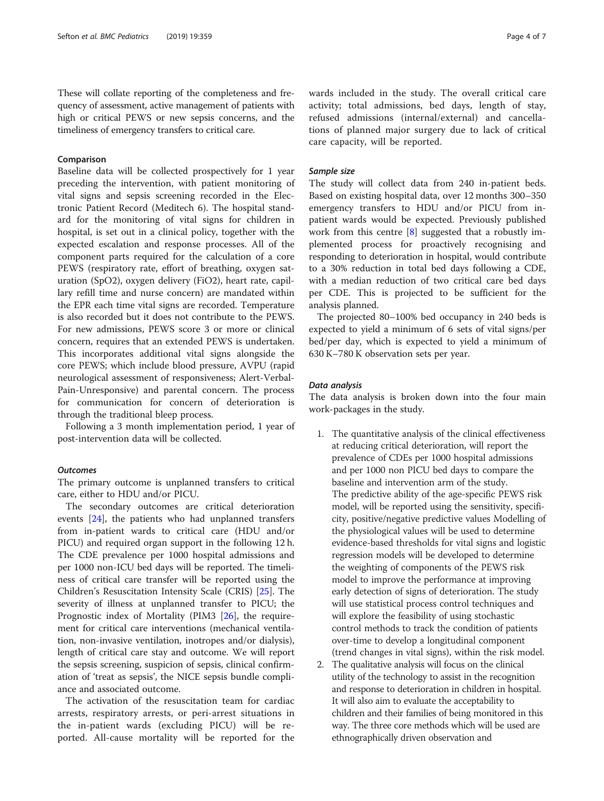These will collate reporting of the completeness and frequency of assessment, active management of patients with high or critical PEWS or new sepsis concerns, and the timeliness of emergency transfers to critical care.

# Comparison

Baseline data will be collected prospectively for 1 year preceding the intervention, with patient monitoring of vital signs and sepsis screening recorded in the Electronic Patient Record (Meditech 6). The hospital standard for the monitoring of vital signs for children in hospital, is set out in a clinical policy, together with the expected escalation and response processes. All of the component parts required for the calculation of a core PEWS (respiratory rate, effort of breathing, oxygen saturation (SpO2), oxygen delivery (FiO2), heart rate, capillary refill time and nurse concern) are mandated within the EPR each time vital signs are recorded. Temperature is also recorded but it does not contribute to the PEWS. For new admissions, PEWS score 3 or more or clinical concern, requires that an extended PEWS is undertaken. This incorporates additional vital signs alongside the core PEWS; which include blood pressure, AVPU (rapid neurological assessment of responsiveness; Alert-Verbal-Pain-Unresponsive) and parental concern. The process for communication for concern of deterioration is through the traditional bleep process.

Following a 3 month implementation period, 1 year of post-intervention data will be collected.

# **Outcomes**

The primary outcome is unplanned transfers to critical care, either to HDU and/or PICU.

The secondary outcomes are critical deterioration events [\[24](#page-5-0)], the patients who had unplanned transfers from in-patient wards to critical care (HDU and/or PICU) and required organ support in the following 12 h. The CDE prevalence per 1000 hospital admissions and per 1000 non-ICU bed days will be reported. The timeliness of critical care transfer will be reported using the Children's Resuscitation Intensity Scale (CRIS) [[25\]](#page-5-0). The severity of illness at unplanned transfer to PICU; the Prognostic index of Mortality (PIM3 [[26](#page-6-0)], the requirement for critical care interventions (mechanical ventilation, non-invasive ventilation, inotropes and/or dialysis), length of critical care stay and outcome. We will report the sepsis screening, suspicion of sepsis, clinical confirmation of 'treat as sepsis', the NICE sepsis bundle compliance and associated outcome.

The activation of the resuscitation team for cardiac arrests, respiratory arrests, or peri-arrest situations in the in-patient wards (excluding PICU) will be reported. All-cause mortality will be reported for the wards included in the study. The overall critical care activity; total admissions, bed days, length of stay, refused admissions (internal/external) and cancellations of planned major surgery due to lack of critical care capacity, will be reported.

# Sample size

The study will collect data from 240 in-patient beds. Based on existing hospital data, over 12 months 300–350 emergency transfers to HDU and/or PICU from inpatient wards would be expected. Previously published work from this centre [[8\]](#page-5-0) suggested that a robustly implemented process for proactively recognising and responding to deterioration in hospital, would contribute to a 30% reduction in total bed days following a CDE, with a median reduction of two critical care bed days per CDE. This is projected to be sufficient for the analysis planned.

The projected 80–100% bed occupancy in 240 beds is expected to yield a minimum of 6 sets of vital signs/per bed/per day, which is expected to yield a minimum of 630 K–780 K observation sets per year.

# Data analysis

The data analysis is broken down into the four main work-packages in the study.

- 1. The quantitative analysis of the clinical effectiveness at reducing critical deterioration, will report the prevalence of CDEs per 1000 hospital admissions and per 1000 non PICU bed days to compare the baseline and intervention arm of the study. The predictive ability of the age-specific PEWS risk model, will be reported using the sensitivity, specificity, positive/negative predictive values Modelling of the physiological values will be used to determine evidence-based thresholds for vital signs and logistic regression models will be developed to determine the weighting of components of the PEWS risk model to improve the performance at improving early detection of signs of deterioration. The study will use statistical process control techniques and will explore the feasibility of using stochastic control methods to track the condition of patients over-time to develop a longitudinal component (trend changes in vital signs), within the risk model.
- 2. The qualitative analysis will focus on the clinical utility of the technology to assist in the recognition and response to deterioration in children in hospital. It will also aim to evaluate the acceptability to children and their families of being monitored in this way. The three core methods which will be used are ethnographically driven observation and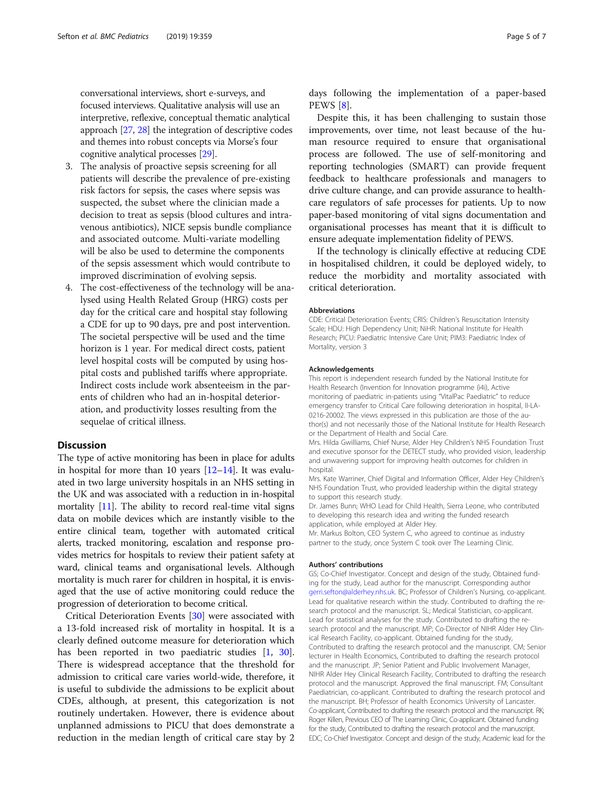conversational interviews, short e-surveys, and focused interviews. Qualitative analysis will use an interpretive, reflexive, conceptual thematic analytical approach [\[27,](#page-6-0) [28](#page-6-0)] the integration of descriptive codes and themes into robust concepts via Morse's four cognitive analytical processes [\[29\]](#page-6-0).

- 3. The analysis of proactive sepsis screening for all patients will describe the prevalence of pre-existing risk factors for sepsis, the cases where sepsis was suspected, the subset where the clinician made a decision to treat as sepsis (blood cultures and intravenous antibiotics), NICE sepsis bundle compliance and associated outcome. Multi-variate modelling will be also be used to determine the components of the sepsis assessment which would contribute to improved discrimination of evolving sepsis.
- 4. The cost-effectiveness of the technology will be analysed using Health Related Group (HRG) costs per day for the critical care and hospital stay following a CDE for up to 90 days, pre and post intervention. The societal perspective will be used and the time horizon is 1 year. For medical direct costs, patient level hospital costs will be computed by using hospital costs and published tariffs where appropriate. Indirect costs include work absenteeism in the parents of children who had an in-hospital deterioration, and productivity losses resulting from the sequelae of critical illness.

# **Discussion**

The type of active monitoring has been in place for adults in hospital for more than 10 years  $[12-14]$  $[12-14]$  $[12-14]$  $[12-14]$ . It was evaluated in two large university hospitals in an NHS setting in the UK and was associated with a reduction in in-hospital mortality [\[11\]](#page-5-0). The ability to record real-time vital signs data on mobile devices which are instantly visible to the entire clinical team, together with automated critical alerts, tracked monitoring, escalation and response provides metrics for hospitals to review their patient safety at ward, clinical teams and organisational levels. Although mortality is much rarer for children in hospital, it is envisaged that the use of active monitoring could reduce the progression of deterioration to become critical.

Critical Deterioration Events [\[30](#page-6-0)] were associated with a 13-fold increased risk of mortality in hospital. It is a clearly defined outcome measure for deterioration which has been reported in two paediatric studies [\[1](#page-5-0), [30](#page-6-0)]. There is widespread acceptance that the threshold for admission to critical care varies world-wide, therefore, it is useful to subdivide the admissions to be explicit about CDEs, although, at present, this categorization is not routinely undertaken. However, there is evidence about unplanned admissions to PICU that does demonstrate a reduction in the median length of critical care stay by 2

days following the implementation of a paper-based PEWS [[8\]](#page-5-0).

Despite this, it has been challenging to sustain those improvements, over time, not least because of the human resource required to ensure that organisational process are followed. The use of self-monitoring and reporting technologies (SMART) can provide frequent feedback to healthcare professionals and managers to drive culture change, and can provide assurance to healthcare regulators of safe processes for patients. Up to now paper-based monitoring of vital signs documentation and organisational processes has meant that it is difficult to ensure adequate implementation fidelity of PEWS.

If the technology is clinically effective at reducing CDE in hospitalised children, it could be deployed widely, to reduce the morbidity and mortality associated with critical deterioration.

#### Abbreviations

CDE: Critical Deterioration Events; CRIS: Children's Resuscitation Intensity Scale; HDU: High Dependency Unit; NiHR: National Institute for Health Research; PICU: Paediatric Intensive Care Unit; PIM3: Paediatric Index of Mortality, version 3

#### Acknowledgements

This report is independent research funded by the National Institute for Health Research (Invention for Innovation programme (i4i), Active monitoring of paediatric in-patients using "VitalPac Paediatric" to reduce emergency transfer to Critical Care following deterioration in hospital, II-LA-0216-20002. The views expressed in this publication are those of the author(s) and not necessarily those of the National Institute for Health Research or the Department of Health and Social Care.

Mrs. Hilda Gwilliams, Chief Nurse, Alder Hey Children's NHS Foundation Trust and executive sponsor for the DETECT study, who provided vision, leadership and unwavering support for improving health outcomes for children in hospital.

Mrs. Kate Warriner, Chief Digital and Information Officer, Alder Hey Children's NHS Foundation Trust, who provided leadership within the digital strategy to support this research study.

Dr. James Bunn; WHO Lead for Child Health, Sierra Leone, who contributed to developing this research idea and writing the funded research application, while employed at Alder Hey.

Mr. Markus Bolton, CEO System C, who agreed to continue as industry partner to the study, once System C took over The Learning Clinic.

#### Authors' contributions

GS; Co-Chief Investigator. Concept and design of the study, Obtained funding for the study, Lead author for the manuscript. Corresponding author [gerri.sefton@alderhey.nhs.uk](mailto:gerri.sefton@alderhey.nhs.uk). BC; Professor of Children's Nursing, co-applicant. Lead for qualitative research within the study. Contributed to drafting the research protocol and the manuscript. SL; Medical Statistician, co-applicant. Lead for statistical analyses for the study. Contributed to drafting the research protocol and the manuscript. MP; Co-Director of NIHR Alder Hey Clinical Research Facility, co-applicant. Obtained funding for the study, Contributed to drafting the research protocol and the manuscript. CM; Senior lecturer in Health Economics, Contributed to drafting the research protocol and the manuscript. JP; Senior Patient and Public Involvement Manager, NIHR Alder Hey Clinical Research Facility, Contributed to drafting the research protocol and the manuscript. Approved the final manuscript. FM; Consultant Paediatrician, co-applicant. Contributed to drafting the research protocol and the manuscript. BH; Professor of health Economics University of Lancaster. Co-applicant, Contributed to drafting the research protocol and the manuscript. RK; Roger Killen, Previous CEO of The Learning Clinic, Co-applicant. Obtained funding for the study, Contributed to drafting the research protocol and the manuscript. EDC; Co-Chief Investigator. Concept and design of the study, Academic lead for the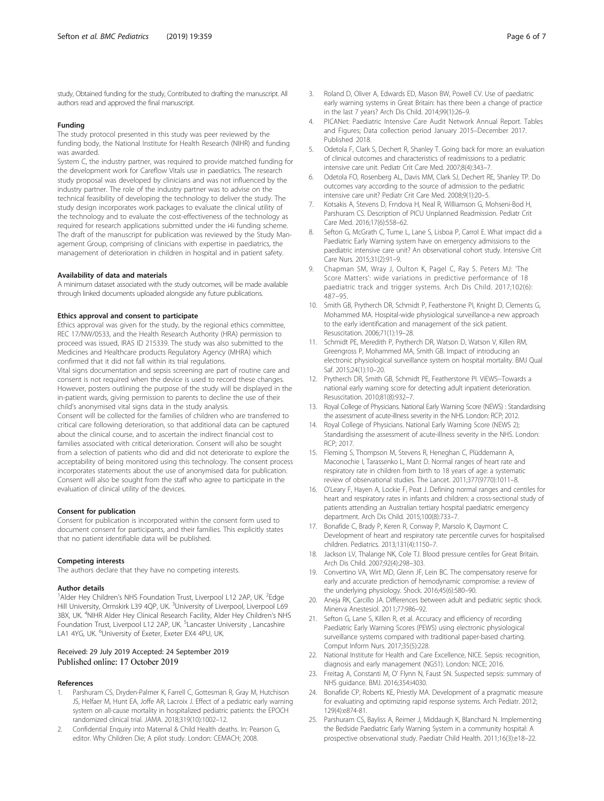# <span id="page-5-0"></span>Funding

The study protocol presented in this study was peer reviewed by the funding body, the National Institute for Health Research (NIHR) and funding was awarded.

System C, the industry partner, was required to provide matched funding for the development work for Careflow Vitals use in paediatrics. The research study proposal was developed by clinicians and was not influenced by the industry partner. The role of the industry partner was to advise on the technical feasibility of developing the technology to deliver the study. The study design incorporates work packages to evaluate the clinical utility of the technology and to evaluate the cost-effectiveness of the technology as required for research applications submitted under the i4i funding scheme. The draft of the manuscript for publication was reviewed by the Study Management Group, comprising of clinicians with expertise in paediatrics, the management of deterioration in children in hospital and in patient safety.

# Availability of data and materials

A minimum dataset associated with the study outcomes, will be made available through linked documents uploaded alongside any future publications.

# Ethics approval and consent to participate

Ethics approval was given for the study, by the regional ethics committee, REC 17/NW/0533, and the Health Research Authority (HRA) permission to proceed was issued, IRAS ID 215339. The study was also submitted to the Medicines and Healthcare products Regulatory Agency (MHRA) which confirmed that it did not fall within its trial regulations.

Vital signs documentation and sepsis screening are part of routine care and consent is not required when the device is used to record these changes. However, posters outlining the purpose of the study will be displayed in the in-patient wards, giving permission to parents to decline the use of their child's anonymised vital signs data in the study analysis.

Consent will be collected for the families of children who are transferred to critical care following deterioration, so that additional data can be captured about the clinical course, and to ascertain the indirect financial cost to families associated with critical deterioration. Consent will also be sought from a selection of patients who did and did not deteriorate to explore the acceptability of being monitored using this technology. The consent process incorporates statements about the use of anonymised data for publication. Consent will also be sought from the staff who agree to participate in the evaluation of clinical utility of the devices.

### Consent for publication

Consent for publication is incorporated within the consent form used to document consent for participants, and their families. This explicitly states that no patient identifiable data will be published.

#### Competing interests

The authors declare that they have no competing interests.

#### Author details

<sup>1</sup> Alder Hey Children's NHS Foundation Trust, Liverpool L12 2AP, UK. <sup>2</sup>Edge Hill University, Ormskirk L39 4QP, UK. <sup>3</sup>University of Liverpool, Liverpool L69 3BX, UK. <sup>4</sup>NIHR Alder Hey Clinical Research Facility, Alder Hey Children's NHS Foundation Trust, Liverpool L12 2AP, UK. <sup>5</sup>Lancaster University, Lancashire LA1 4YG, UK. <sup>6</sup>University of Exeter, Exeter EX4 4PU, UK.

# Received: 29 July 2019 Accepted: 24 September 2019 Published online: 17 October 2019

# References

- Parshuram CS, Dryden-Palmer K, Farrell C, Gottesman R, Gray M, Hutchison JS, Helfaer M, Hunt EA, Joffe AR, Lacroix J. Effect of a pediatric early warning system on all-cause mortality in hospitalized pediatric patients: the EPOCH randomized clinical trial. JAMA. 2018;319(10):1002–12.
- 2. Confidential Enquiry into Maternal & Child Health deaths. In: Pearson G, editor. Why Children Die; A pilot study. London: CEMACH; 2008.
- 3. Roland D, Oliver A, Edwards ED, Mason BW, Powell CV. Use of paediatric early warning systems in Great Britain: has there been a change of practice in the last 7 years? Arch Dis Child. 2014;99(1):26–9.
- 4. PICANet: Paediatric Intensive Care Audit Network Annual Report. Tables and Figures; Data collection period January 2015–December 2017. Published 2018.
- 5. Odetola F, Clark S, Dechert R, Shanley T. Going back for more: an evaluation of clinical outcomes and characteristics of readmissions to a pediatric intensive care unit. Pediatr Crit Care Med. 2007;8(4):343–7.
- 6. Odetola FO, Rosenberg AL, Davis MM, Clark SJ, Dechert RE, Shanley TP. Do outcomes vary according to the source of admission to the pediatric intensive care unit? Pediatr Crit Care Med. 2008;9(1):20–5.
- 7. Kotsakis A, Stevens D, Frndova H, Neal R, Williamson G, Mohseni-Bod H, Parshuram CS. Description of PICU Unplanned Readmission. Pediatr Crit Care Med. 2016;17(6):558–62.
- Sefton G, McGrath C, Tume L, Lane S, Lisboa P, Carrol E. What impact did a Paediatric Early Warning system have on emergency admissions to the paediatric intensive care unit? An observational cohort study. Intensive Crit Care Nurs. 2015;31(2):91–9.
- 9. Chapman SM, Wray J, Oulton K, Pagel C, Ray S. Peters MJ: 'The Score Matters': wide variations in predictive performance of 18 paediatric track and trigger systems. Arch Dis Child. 2017;102(6): 487–95.
- 10. Smith GB, Prytherch DR, Schmidt P, Featherstone PI, Knight D, Clements G, Mohammed MA. Hospital-wide physiological surveillance-a new approach to the early identification and management of the sick patient. Resuscitation. 2006;71(1):19–28.
- 11. Schmidt PE, Meredith P, Prytherch DR, Watson D, Watson V, Killen RM, Greengross P, Mohammed MA, Smith GB. Impact of introducing an electronic physiological surveillance system on hospital mortality. BMJ Qual Saf. 2015;24(1):10–20.
- 12. Prytherch DR, Smith GB, Schmidt PE, Featherstone PI. ViEWS--Towards a national early warning score for detecting adult inpatient deterioration. Resuscitation. 2010;81(8):932–7.
- 13. Royal College of Physicians. National Early Warning Score (NEWS) : Standardising the assessment of acute-illness severity in the NHS. London: RCP; 2012.
- 14. Royal College of Physicians. National Early Warning Score (NEWS 2); Standardising the assessment of acute-illness severity in the NHS. London: RCP; 2017.
- 15. Fleming S, Thompson M, Stevens R, Heneghan C, Plüddemann A, Maconochie I, Tarassenko L, Mant D. Normal ranges of heart rate and respiratory rate in children from birth to 18 years of age: a systematic review of observational studies. The Lancet. 2011;377(9770):1011–8.
- 16. O'Leary F, Hayen A, Lockie F, Peat J. Defining normal ranges and centiles for heart and respiratory rates in infants and children: a cross-sectional study of patients attending an Australian tertiary hospital paediatric emergency department. Arch Dis Child. 2015;100(8):733–7.
- 17. Bonafide C, Brady P, Keren R, Conway P, Marsolo K, Daymont C. Development of heart and respiratory rate percentile curves for hospitalised children. Pediatrics. 2013;131(4):1150–7.
- 18. Jackson LV, Thalange NK, Cole TJ. Blood pressure centiles for Great Britain. Arch Dis Child. 2007;92(4):298–303.
- 19. Convertino VA, Wirt MD, Glenn JF, Lein BC. The compensatory reserve for early and accurate prediction of hemodynamic compromise: a review of the underlying physiology. Shock. 2016;45(6):580–90.
- 20. Aneja RK, Carcillo JA. Differences between adult and pediatric septic shock. Minerva Anestesiol. 2011;77:986–92.
- 21. Sefton G, Lane S, Killen R, et al. Accuracy and efficiency of recording Paediatric Early Warning Scores (PEWS) using electronic physiological surveillance systems compared with traditional paper-based charting. Comput Inform Nurs. 2017;35(5):228.
- 22. National Institute for Health and Care Excellence, NICE. Sepsis: recognition, diagnosis and early management (NG51). London: NICE; 2016.
- 23. Freitag A, Constanti M, O' Flynn N, Faust SN. Suspected sepsis: summary of NHS guidance. BMJ. 2016;354:i4030.
- 24. Bonafide CP, Roberts KE, Priestly MA. Development of a pragmatic measure for evaluating and optimizing rapid response systems. Arch Pediatr. 2012; 129(4):e874-81.
- 25. Parshuram CS, Bayliss A, Reimer J, Middaugh K, Blanchard N. Implementing the Bedside Paediatric Early Warning System in a community hospital: A prospective observational study. Paediatr Child Health. 2011;16(3):e18–22.